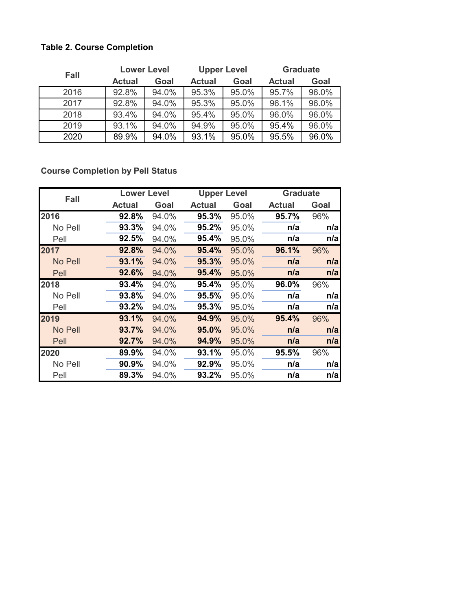## **Table 2. Course Completion**

| <b>Fall</b> | <b>Lower Level</b> |       | <b>Upper Level</b> |       | <b>Graduate</b> |       |
|-------------|--------------------|-------|--------------------|-------|-----------------|-------|
|             | <b>Actual</b>      | Goal  | <b>Actual</b>      | Goal  | <b>Actual</b>   | Goal  |
| 2016        | 92.8%              | 94.0% | 95.3%              | 95.0% | 95.7%           | 96.0% |
| 2017        | 92.8%              | 94.0% | 95.3%              | 95.0% | 96.1%           | 96.0% |
| 2018        | 93.4%              | 94.0% | 95.4%              | 95.0% | 96.0%           | 96.0% |
| 2019        | 93.1%              | 94.0% | 94.9%              | 95.0% | 95.4%           | 96.0% |
| 2020        | 89.9%              | 94.0% | 93.1%              | 95.0% | 95.5%           | 96.0% |

**Course Completion by Pell Status**

| Fall    | <b>Lower Level</b> |       | <b>Upper Level</b> |       | <b>Graduate</b><br><b>Actual</b><br>95.7%<br>n/a<br>n/a<br>96.1%<br>n/a<br>n/a<br>96.0%<br>n/a<br>n/a<br>95.4%<br>n/a |      |
|---------|--------------------|-------|--------------------|-------|-----------------------------------------------------------------------------------------------------------------------|------|
|         | <b>Actual</b>      | Goal  | <b>Actual</b>      | Goal  |                                                                                                                       | Goal |
| 2016    | 92.8%              | 94.0% | 95.3%              | 95.0% |                                                                                                                       | 96%  |
| No Pell | 93.3%              | 94.0% | 95.2%              | 95.0% |                                                                                                                       | n/a  |
| Pell    | 92.5%              | 94.0% | 95.4%              | 95.0% |                                                                                                                       | n/a  |
| 2017    | 92.8%              | 94.0% | 95.4%              | 95.0% |                                                                                                                       | 96%  |
| No Pell | 93.1%              | 94.0% | 95.3%              | 95.0% |                                                                                                                       | n/a  |
| Pell    | 92.6%              | 94.0% | 95.4%              | 95.0% |                                                                                                                       | n/a  |
| 2018    | 93.4%              | 94.0% | 95.4%              | 95.0% |                                                                                                                       | 96%  |
| No Pell | 93.8%              | 94.0% | 95.5%              | 95.0% |                                                                                                                       | n/a  |
| Pell    | 93.2%              | 94.0% | 95.3%              | 95.0% |                                                                                                                       | n/a  |
| 2019    | 93.1%              | 94.0% | 94.9%              | 95.0% |                                                                                                                       | 96%  |
| No Pell | 93.7%              | 94.0% | 95.0%              | 95.0% |                                                                                                                       | n/a  |
| Pell    | 92.7%              | 94.0% | 94.9%              | 95.0% | n/a                                                                                                                   | n/a  |
| 2020    | 89.9%              | 94.0% | 93.1%              | 95.0% | 95.5%                                                                                                                 | 96%  |
| No Pell | 90.9%              | 94.0% | 92.9%              | 95.0% | n/a                                                                                                                   | n/a  |
| Pell    | 89.3%              | 94.0% | 93.2%              | 95.0% | n/a                                                                                                                   | n/a  |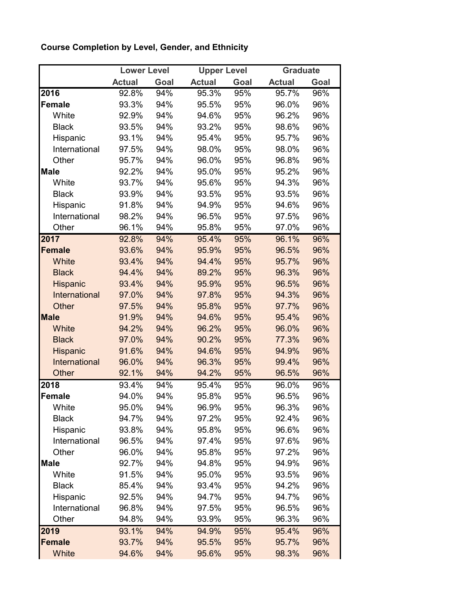## **Course Completion by Level, Gender, and Ethnicity**

|                 | <b>Lower Level</b> |      |               | <b>Upper Level</b> |               | <b>Graduate</b> |
|-----------------|--------------------|------|---------------|--------------------|---------------|-----------------|
|                 | <b>Actual</b>      | Goal | <b>Actual</b> | Goal               | <b>Actual</b> | Goal            |
| 2016            | 92.8%              | 94%  | 95.3%         | 95%                | 95.7%         | 96%             |
| <b>Female</b>   | 93.3%              | 94%  | 95.5%         | 95%                | 96.0%         | 96%             |
| White           | 92.9%              | 94%  | 94.6%         | 95%                | 96.2%         | 96%             |
| <b>Black</b>    | 93.5%              | 94%  | 93.2%         | 95%                | 98.6%         | 96%             |
| Hispanic        | 93.1%              | 94%  | 95.4%         | 95%                | 95.7%         | 96%             |
| International   | 97.5%              | 94%  | 98.0%         | 95%                | 98.0%         | 96%             |
| Other           | 95.7%              | 94%  | 96.0%         | 95%                | 96.8%         | 96%             |
| <b>Male</b>     | 92.2%              | 94%  | 95.0%         | 95%                | 95.2%         | 96%             |
| White           | 93.7%              | 94%  | 95.6%         | 95%                | 94.3%         | 96%             |
| <b>Black</b>    | 93.9%              | 94%  | 93.5%         | 95%                | 93.5%         | 96%             |
| Hispanic        | 91.8%              | 94%  | 94.9%         | 95%                | 94.6%         | 96%             |
| International   | 98.2%              | 94%  | 96.5%         | 95%                | 97.5%         | 96%             |
| Other           | 96.1%              | 94%  | 95.8%         | 95%                | 97.0%         | 96%             |
| 2017            | 92.8%              | 94%  | 95.4%         | 95%                | 96.1%         | 96%             |
| <b>Female</b>   | 93.6%              | 94%  | 95.9%         | 95%                | 96.5%         | 96%             |
| White           | 93.4%              | 94%  | 94.4%         | 95%                | 95.7%         | 96%             |
| <b>Black</b>    | 94.4%              | 94%  | 89.2%         | 95%                | 96.3%         | 96%             |
| <b>Hispanic</b> | 93.4%              | 94%  | 95.9%         | 95%                | 96.5%         | 96%             |
| International   | 97.0%              | 94%  | 97.8%         | 95%                | 94.3%         | 96%             |
| Other           | 97.5%              | 94%  | 95.8%         | 95%                | 97.7%         | 96%             |
| <b>Male</b>     | 91.9%              | 94%  | 94.6%         | 95%                | 95.4%         | 96%             |
| White           | 94.2%              | 94%  | 96.2%         | 95%                | 96.0%         | 96%             |
| <b>Black</b>    | 97.0%              | 94%  | 90.2%         | 95%                | 77.3%         | 96%             |
| <b>Hispanic</b> | 91.6%              | 94%  | 94.6%         | 95%                | 94.9%         | 96%             |
| International   | 96.0%              | 94%  | 96.3%         | 95%                | 99.4%         | 96%             |
| Other           | 92.1%              | 94%  | 94.2%         | 95%                | 96.5%         | 96%             |
| 2018            | 93.4%              | 94%  | 95.4%         | 95%                | 96.0%         | 96%             |
| <b>Female</b>   | 94.0%              | 94%  | 95.8%         | 95%                | 96.5%         | 96%             |
| White           | 95.0%              | 94%  | 96.9%         | 95%                | 96.3%         | 96%             |
| <b>Black</b>    | 94.7%              | 94%  | 97.2%         | 95%                | 92.4%         | 96%             |
| Hispanic        | 93.8%              | 94%  | 95.8%         | 95%                | 96.6%         | 96%             |
| International   | 96.5%              | 94%  | 97.4%         | 95%                | 97.6%         | 96%             |
| Other           | 96.0%              | 94%  | 95.8%         | 95%                | 97.2%         | 96%             |
| <b>Male</b>     | 92.7%              | 94%  | 94.8%         | 95%                | 94.9%         | 96%             |
| White           | 91.5%              | 94%  | 95.0%         | 95%                | 93.5%         | 96%             |
| <b>Black</b>    | 85.4%              | 94%  | 93.4%         | 95%                | 94.2%         | 96%             |
| Hispanic        | 92.5%              | 94%  | 94.7%         | 95%                | 94.7%         | 96%             |
| International   | 96.8%              | 94%  | 97.5%         | 95%                | 96.5%         | 96%             |
| Other           | 94.8%              | 94%  | 93.9%         | 95%                | 96.3%         | 96%             |
| 2019            | 93.1%              | 94%  | 94.9%         | 95%                | 95.4%         | 96%             |
| <b>Female</b>   | 93.7%              | 94%  | 95.5%         | 95%                | 95.7%         | 96%             |
| White           | 94.6%              | 94%  | 95.6%         | 95%                | 98.3%         | 96%             |